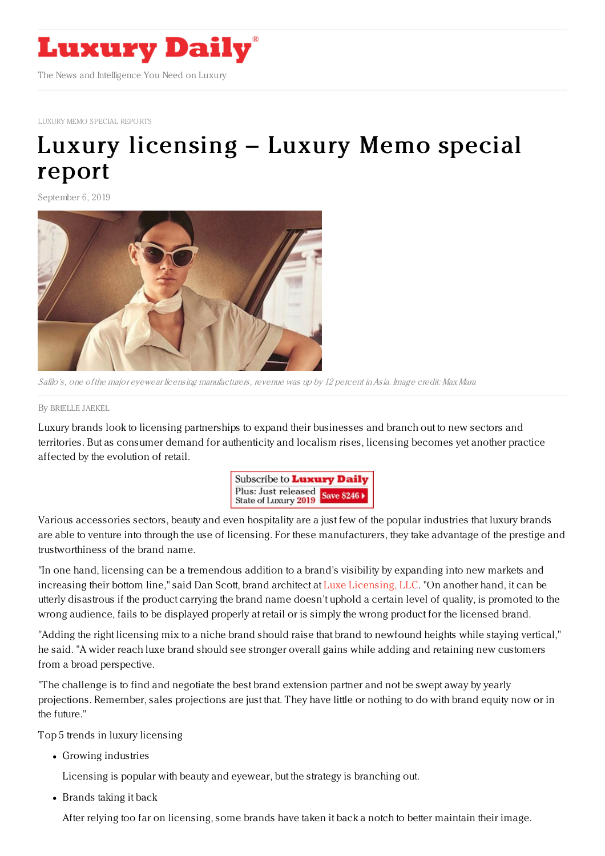

LUXURY MEMO SPECIAL [REPORTS](https://www.luxurydaily.com/category/sectors/special-reports/)

# Luxury [licensing](https://www.luxurydaily.com/luxury-licensing-luxury-memo-special-report-6/) – Luxury Memo special report

September 6, 2019



Safilo's, one of the major eyewear licensing manufacturers, revenue was up by 12 percent in Asia. Image credit: Max Mara

By [BRIELLE](file:///author/brielle-jaekel) JAEKEL

Luxury brands look to licensing partnerships to expand their businesses and branch out to new sectors and territories. But as consumer demand for authenticity and localism rises, licensing becomes yet another practice affected by the evolution of retail.



Various accessories sectors, beauty and even hospitality are a just few of the popular industries that luxury brands are able to venture into through the use of licensing. For these manufacturers, they take advantage of the prestige and trustworthiness of the brand name.

"In one hand, licensing can be a tremendous addition to a brand's visibility by expanding into new markets and increasing their bottom line," said Dan Scott, brand architect at Luxe [Licensing,](https://luxelicensing.com/) LLC. "On another hand, it can be utterly disastrous if the product carrying the brand name doesn't uphold a certain level of quality, is promoted to the wrong audience, fails to be displayed properly at retail or is simply the wrong product for the licensed brand.

"Adding the right licensing mix to a niche brand should raise that brand to newfound heights while staying vertical," he said. "A wider reach luxe brand should see stronger overall gains while adding and retaining new customers from a broad perspective.

"The challenge is to find and negotiate the best brand extension partner and not be swept away by yearly projections. Remember, sales projections are just that. They have little or nothing to do with brand equity now or in the future."

Top 5 trends in luxury licensing

Growing industries

Licensing is popular with beauty and eyewear, but the strategy is branching out.

• Brands taking it back

After relying too far on licensing, some brands have taken it back a notch to better maintain their image.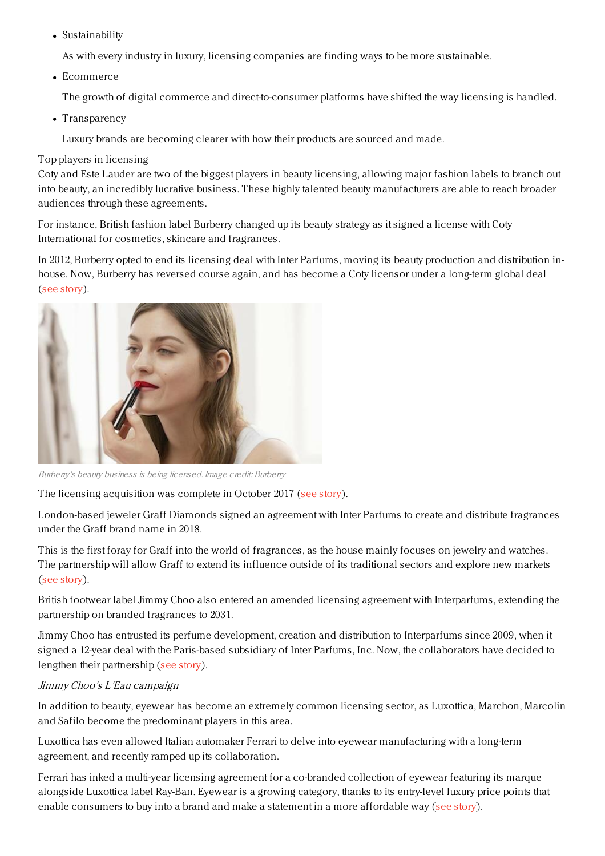Sustainability

As with every industry in luxury, licensing companies are finding ways to be more sustainable.

Ecommerce

The growth of digital commerce and direct-to-consumer platforms have shifted the way licensing is handled.

• Transparency

Luxury brands are becoming clearer with how their products are sourced and made.

## Top players in licensing

Coty and Este Lauder are two of the biggest players in beauty licensing, allowing major fashion labels to branch out into beauty, an incredibly lucrative business. These highly talented beauty manufacturers are able to reach broader audiences through these agreements.

For instance, British fashion label Burberry changed up its beauty strategy as it signed a license with Coty International for cosmetics, skincare and fragrances.

In 2012, Burberry opted to end its licensing deal with Inter Parfums, moving its beauty production and distribution inhouse. Now, Burberry has reversed course again, and has become a Coty licensor under a long-term global deal (see [story](https://www.luxurydaily.com/burberry-retools-beauty-business-with-coty-licensing-deal/)).



Burberry's beauty business is being licensed. Image credit: Burberry

The licensing acquisition was complete in October 2017 (see [story](https://www.luxurydaily.com/burberry-beauty-shifts-to-licensing-structure-with-coty/)).

London-based jeweler Graff Diamonds signed an agreement with Inter Parfums to create and distribute fragrances under the Graff brand name in 2018.

This is the first foray for Graff into the world of fragrances, as the house mainly focuses on jewelry and watches. The partnership will allow Graff to extend its influence outside of its traditional sectors and explore new markets (see [story](https://www.luxurydaily.com/graff-diamonds-to-create-first-fragrance-line-with-inter-parfums/)).

British footwear label Jimmy Choo also entered an amended licensing agreement with Interparfums, extending the partnership on branded fragrances to 2031.

Jimmy Choo has entrusted its perfume development, creation and distribution to Interparfums since 2009, when it signed a 12-year deal with the Paris-based subsidiary of Inter Parfums, Inc. Now, the collaborators have decided to lengthen their partnership (see [story](https://www.luxurydaily.com/inter-parfums-jimmy-choo-fragrance-sales-top-100m-in-2017/)).

## Jimmy Choo's L'Eau campaign

In addition to beauty, eyewear has become an extremely common licensing sector, as Luxottica, Marchon, Marcolin and Safilo become the predominant players in this area.

Luxottica has even allowed Italian automaker Ferrari to delve into eyewear manufacturing with a long-term agreement, and recently ramped up its collaboration.

Ferrari has inked a multi-year licensing agreement for a co-branded collection of eyewear featuring its marque alongside Luxottica label Ray-Ban. Eyewear is a growing category, thanks to its entry-level luxury price points that enable consumers to buy into a brand and make a statement in a more affordable way (see [story](https://www.luxurydaily.com/ferrari-extends-partnership-with-ray-ban-through-licensing-deal/)).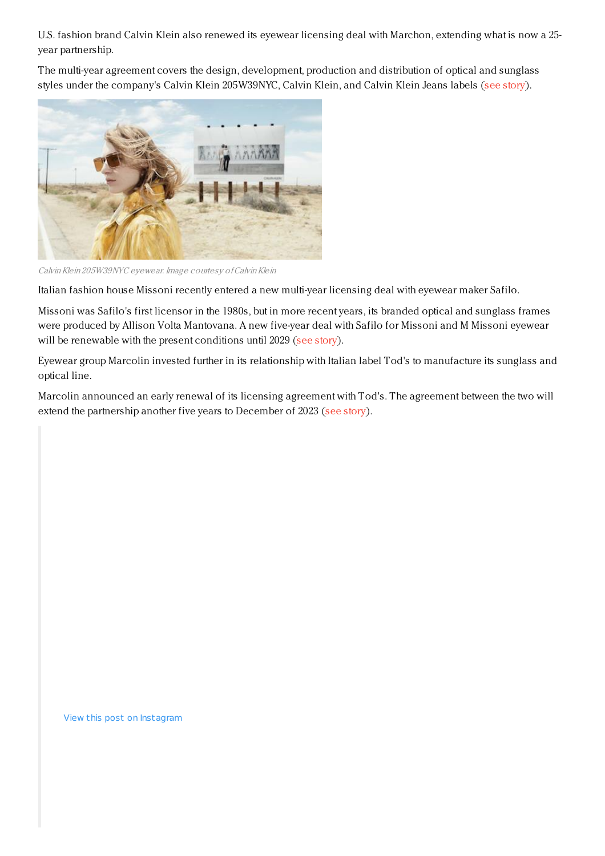U.S. fashion brand Calvin Klein also renewed its eyewear licensing deal with Marchon, extending what is now a 25 year partnership.

The multi-year agreement covers the design, development, production and distribution of optical and sunglass styles under the company's Calvin Klein 205W39NYC, Calvin Klein, and Calvin Klein Jeans labels (see [story](https://www.luxurydaily.com/calvin-klein-eyes-further-partnership-with-marchon-in-renewed-licensing-agreement/)).



Calvin Klein 205W39NYC eyewear. Image courtesy of Calvin Klein

Italian fashion house Missoni recently entered a new multi-year licensing deal with eyewear maker Safilo.

Missoni was Safilo's first licensor in the 1980s, but in more recent years, its branded optical and sunglass frames were produced by Allison Volta Mantovana. A new five-year deal with Safilo for Missoni and M Missoni eyewear will be renewable with the present conditions until 2029 (see [story](https://www.luxurydaily.com/missoni-returns-to-safilo-with-licensing-deal/)).

Eyewear group Marcolin invested further in its relationship with Italian label Tod's to manufacture its sunglass and optical line.

Marcolin announced an early renewal of its licensing agreement with Tod's. The agreement between the two will extend the partnership another five years to December of 2023 (see [story](https://www.luxurydaily.com/marcolin-extends-licensing-agreement-with-tods/)).

View this post on Instagram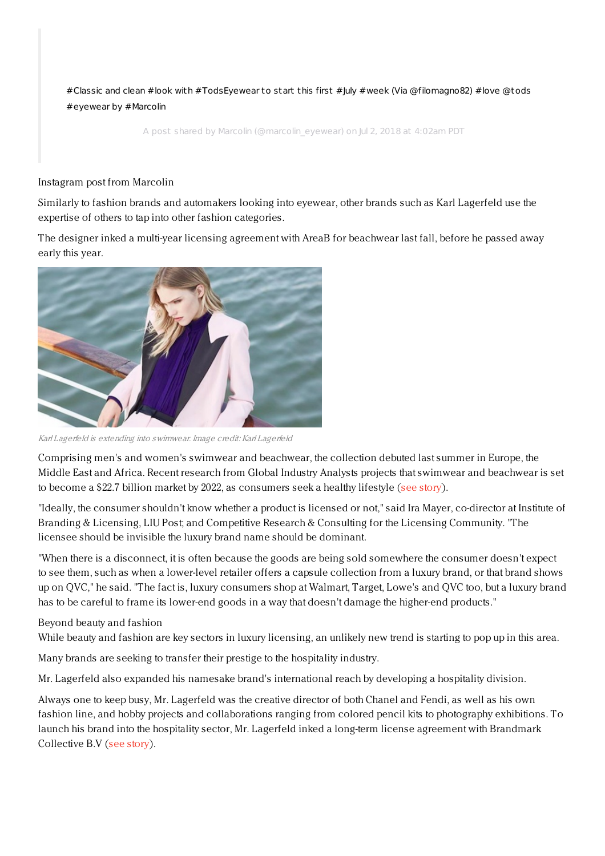#Classic and clean #look with [#TodsEyewear](https://www.instagram.com/p/BkuhTd6g4Xk/?utm_source=ig_embed&utm_medium=loading) to start this first #July #week (Via @filomagno82) #love @tods #eyewear by #Marcolin

A post shared by [Marcolin](https://www.instagram.com/marcolin_eyewear/?utm_source=ig_embed&utm_medium=loading) (@marcolin\_eyewear) on Jul 2, 2018 at 4:02am PDT

Instagram post from Marcolin

Similarly to fashion brands and automakers looking into eyewear, other brands such as Karl Lagerfeld use the expertise of others to tap into other fashion categories.

The designer inked a multi-year licensing agreement with AreaB for beachwear last fall, before he passed away early this year.



Karl Lagerfeld is extending into swimwear. Image credit: Karl Lagerfeld

Comprising men's and women's swimwear and beachwear, the collection debuted last summer in Europe, the Middle East and Africa. Recent research from Global Industry Analysts projects that swimwear and beachwear is set to become a \$22.7 billion market by 2022, as consumers seek a healthy lifestyle (see [story](https://www.luxurydaily.com/karl-lagerfeld-heads-to-the-beach-with-licensing-deal/)).

"Ideally, the consumer shouldn't know whether a product is licensed or not," said Ira Mayer, co-director at Institute of Branding & Licensing, LIU Post; and Competitive Research & Consulting for the Licensing Community. "The licensee should be invisible the luxury brand name should be dominant.

"When there is a disconnect, it is often because the goods are being sold somewhere the consumer doesn't expect to see them, such as when a lower-level retailer offers a capsule collection from a luxury brand, or that brand shows up on QVC," he said. "The fact is, luxury consumers shop at Walmart, Target, Lowe's and QVC too, but a luxury brand has to be careful to frame its lower-end goods in a way that doesn't damage the higher-end products."

## Beyond beauty and fashion

While beauty and fashion are key sectors in luxury licensing, an unlikely new trend is starting to pop up in this area.

Many brands are seeking to transfer their prestige to the hospitality industry.

Mr. Lagerfeld also expanded his namesake brand's international reach by developing a hospitality division.

Always one to keep busy, Mr. Lagerfeld was the creative director of both Chanel and Fendi, as well as his own fashion line, and hobby projects and collaborations ranging from colored pencil kits to photography exhibitions. To launch his brand into the hospitality sector, Mr. Lagerfeld inked a long-term license agreement with Brandmark Collective B.V (see [story](https://www.luxurydaily.com/karl-lagerfeld-enters-licensing-agreement-for-branded-hospitality-network/)).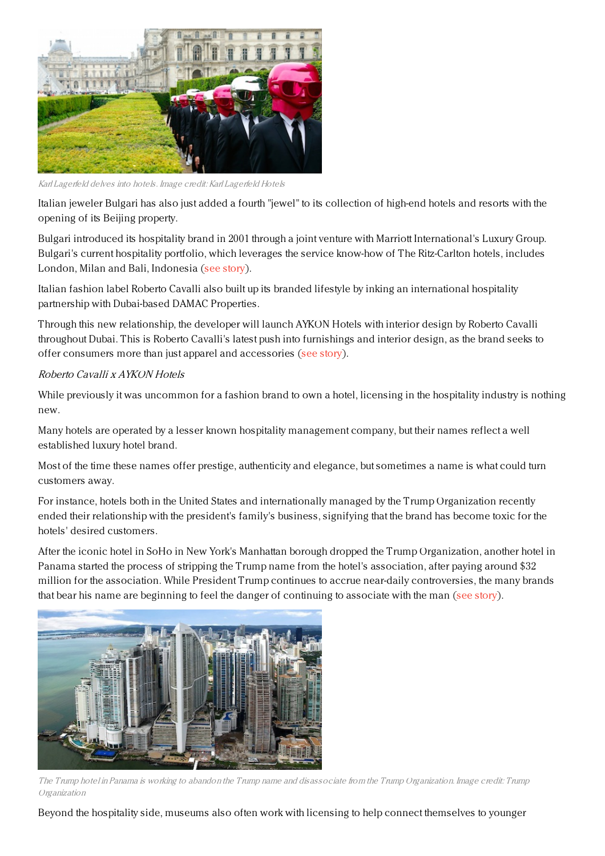

Karl Lagerfeld delves into hotels. Image credit: Karl Lagerfeld Hotels

Italian jeweler Bulgari has also just added a fourth "jewel" to its collection of high-end hotels and resorts with the opening of its Beijing property.

Bulgari introduced its hospitality brand in 2001 through a joint venture with Marriott International's Luxury Group. Bulgari's current hospitality portfolio, which leverages the service know-how of The Ritz-Carlton hotels, includes London, Milan and Bali, Indonesia (see [story](https://www.luxurydaily.com/bulgari-brings-made-in-italy-hospitality-to-beijing/)).

Italian fashion label Roberto Cavalli also built up its branded lifestyle by inking an international hospitality partnership with Dubai-based DAMAC Properties.

Through this new relationship, the developer will launch AYKON Hotels with interior design by Roberto Cavalli throughout Dubai. This is Roberto Cavalli's latest push into furnishings and interior design, as the brand seeks to offer consumers more than just apparel and accessories (see [story](https://www.luxurydaily.com/roberto-cavalli-links-with-dubai-developer-for-global-branded-hospitality/)).

## Roberto Cavalli <sup>x</sup> AYKON Hotels

While previously it was uncommon for a fashion brand to own a hotel, licensing in the hospitality industry is nothing new.

Many hotels are operated by a lesser known hospitality management company, but their names reflect a well established luxury hotel brand.

Most of the time these names offer prestige, authenticity and elegance, but sometimes a name is what could turn customers away.

For instance, hotels both in the United States and internationally managed by the Trump Organization recently ended their relationship with the president's family's business, signifying that the brand has become toxic for the hotels' desired customers.

After the iconic hotel in SoHo in New York's Manhattan borough dropped the Trump Organization, another hotel in Panama started the process of stripping the Trump name from the hotel's association, after paying around \$32 million for the association. While President Trump continues to accrue near-daily controversies, the many brands that bear his name are beginning to feel the danger of continuing to associate with the man (see [story](https://www.luxurydaily.com/trump-branded-hotels-are-dropping-name-in-light-of-us-presidents-constant-controversies/)).



The Trump hotel in Panama is working to abandon the Trump name and disassociate from the Trump Organization. Image credit: Trump Organization

Beyond the hospitality side, museums also often work with licensing to help connect themselves to younger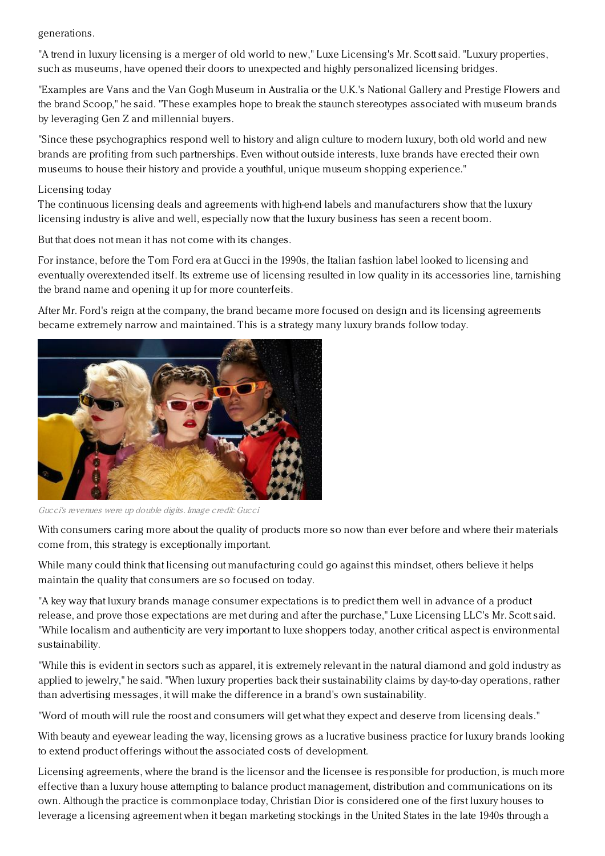generations.

"A trend in luxury licensing is a merger of old world to new," Luxe Licensing's Mr. Scott said. "Luxury properties, such as museums, have opened their doors to unexpected and highly personalized licensing bridges.

"Examples are Vans and the Van Gogh Museum in Australia or the U.K.'s National Gallery and Prestige Flowers and the brand Scoop," he said. "These examples hope to break the staunch stereotypes associated with museum brands by leveraging Gen Z and millennial buyers.

"Since these psychographics respond well to history and align culture to modern luxury, both old world and new brands are profiting from such partnerships. Even without outside interests, luxe brands have erected their own museums to house their history and provide a youthful, unique museum shopping experience."

## Licensing today

The continuous licensing deals and agreements with high-end labels and manufacturers show that the luxury licensing industry is alive and well, especially now that the luxury business has seen a recent boom.

But that does not mean it has not come with its changes.

For instance, before the Tom Ford era at Gucci in the 1990s, the Italian fashion label looked to licensing and eventually overextended itself. Its extreme use of licensing resulted in low quality in its accessories line, tarnishing the brand name and opening it up for more counterfeits.

After Mr. Ford's reign at the company, the brand became more focused on design and its licensing agreements became extremely narrow and maintained. This is a strategy many luxury brands follow today.



Gucci's revenues were up double digits. Image credit: Gucci

With consumers caring more about the quality of products more so now than ever before and where their materials come from, this strategy is exceptionally important.

While many could think that licensing out manufacturing could go against this mindset, others believe it helps maintain the quality that consumers are so focused on today.

"A key way that luxury brands manage consumer expectations is to predict them well in advance of a product release, and prove those expectations are met during and after the purchase," Luxe Licensing LLC's Mr. Scott said. "While localism and authenticity are very important to luxe shoppers today, another critical aspect is environmental sustainability.

"While this is evident in sectors such as apparel, it is extremely relevant in the natural diamond and gold industry as applied to jewelry," he said. "When luxury properties back their sustainability claims by day-to-day operations, rather than advertising messages, it will make the difference in a brand's own sustainability.

"Word of mouth will rule the roost and consumers will get what they expect and deserve from licensing deals."

With beauty and eyewear leading the way, licensing grows as a lucrative business practice for luxury brands looking to extend product offerings without the associated costs of development.

Licensing agreements, where the brand is the licensor and the licensee is responsible for production, is much more effective than a luxury house attempting to balance product management, distribution and communications on its own. Although the practice is commonplace today, Christian Dior is considered one of the first luxury houses to leverage a licensing agreement when it began marketing stockings in the United States in the late 1940s through a